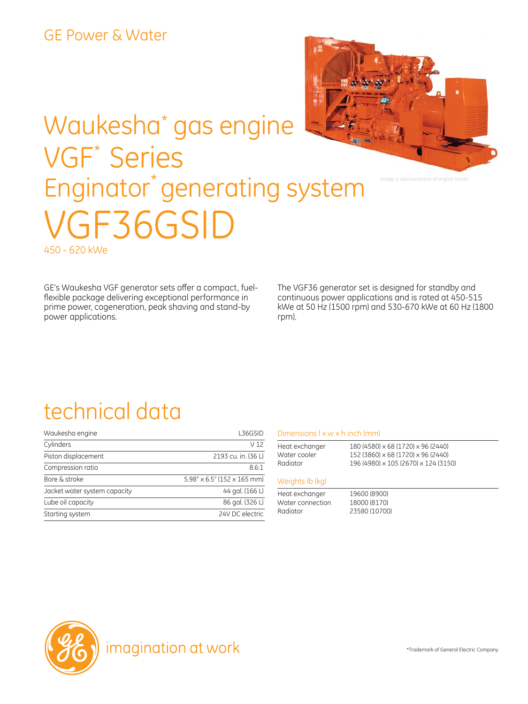# Waukesha\* gas engine VGF\* Series Enginator<sup>\*</sup> generating system VGF36GSID 450 - 620 kWe

GE's Waukesha VGF generator sets offer a compact, fuelflexible package delivering exceptional performance in prime power, cogeneration, peak shaving and stand-by power applications.

The VGF36 generator set is designed for standby and continuous power applications and is rated at 450-515 kWe at 50 Hz (1500 rpm) and 530-670 kWe at 60 Hz (1800 rpm).

*Image is representative of engine model*

### technical data

| Waukesha engine              | L36GSID                                     |
|------------------------------|---------------------------------------------|
| Cylinders                    | V 12                                        |
| Piston displacement          | 2193 cu. in. (36 L)                         |
| Compression ratio            | 8.6:1                                       |
| Bore & stroke                | $5.98'' \times 6.5''$ (152 $\times$ 165 mm) |
| Jacket water system capacity | 44 gal. (166 L)                             |
| Lube oil capacity            | 86 gal. (326 L)                             |
| Starting system              | 24V DC electric                             |

#### Dimensions l x w x h inch (mm)

| Heat exchanger | 180 (4580) x 68 (1720) x 96 (2440)   |  |
|----------------|--------------------------------------|--|
| Water cooler   | 152 (3860) × 68 (1720) × 96 (2440)   |  |
| Radiator       | 196 (4980) x 105 (2670) x 124 (3150) |  |
|                |                                      |  |

#### Weights lb (kg)

Heat exchanger 19600 (8900) Water connection 18000 (8170) Radiator 23580 (10700)